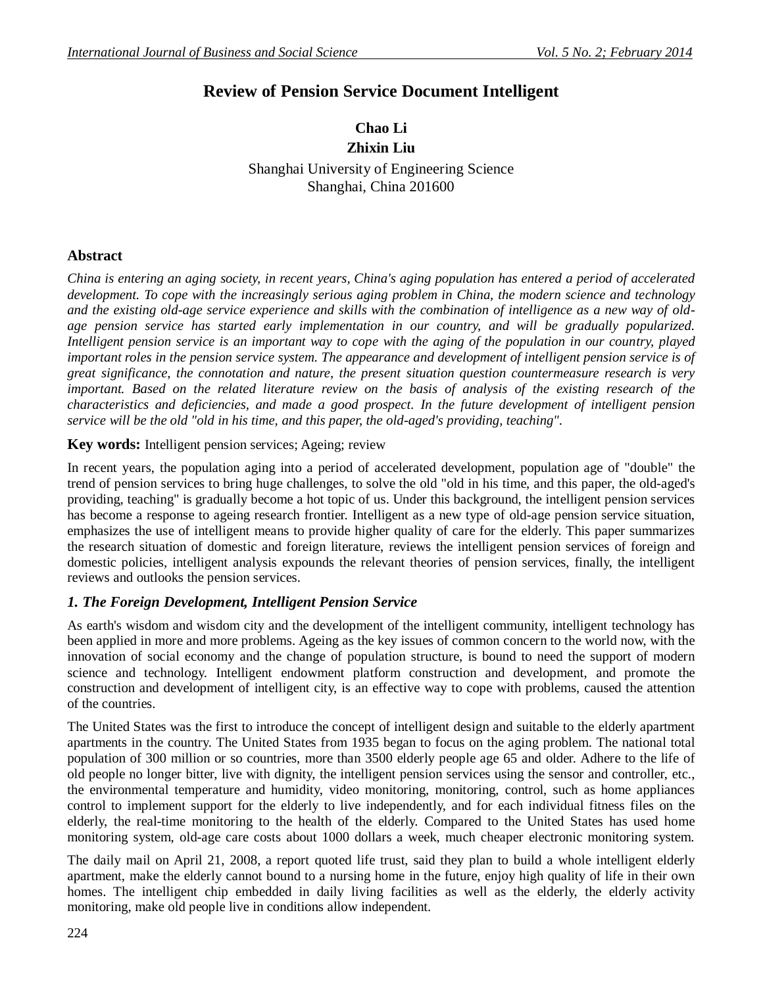# **Review of Pension Service Document Intelligent**

# **Chao Li Zhixin Liu**

Shanghai University of Engineering Science Shanghai, China 201600

# **Abstract**

*China is entering an aging society, in recent years, China's aging population has entered a period of accelerated development. To cope with the increasingly serious aging problem in China, the modern science and technology and the existing old-age service experience and skills with the combination of intelligence as a new way of oldage pension service has started early implementation in our country, and will be gradually popularized. Intelligent pension service is an important way to cope with the aging of the population in our country, played important roles in the pension service system. The appearance and development of intelligent pension service is of great significance, the connotation and nature, the present situation question countermeasure research is very important. Based on the related literature review on the basis of analysis of the existing research of the characteristics and deficiencies, and made a good prospect. In the future development of intelligent pension service will be the old "old in his time, and this paper, the old-aged's providing, teaching".*

**Key words:** Intelligent pension services; Ageing; review

In recent years, the population aging into a period of accelerated development, population age of "double" the trend of pension services to bring huge challenges, to solve the old "old in his time, and this paper, the old-aged's providing, teaching" is gradually become a hot topic of us. Under this background, the intelligent pension services has become a response to ageing research frontier. Intelligent as a new type of old-age pension service situation, emphasizes the use of intelligent means to provide higher quality of care for the elderly. This paper summarizes the research situation of domestic and foreign literature, reviews the intelligent pension services of foreign and domestic policies, intelligent analysis expounds the relevant theories of pension services, finally, the intelligent reviews and outlooks the pension services.

# *1. The Foreign Development, Intelligent Pension Service*

As earth's wisdom and wisdom city and the development of the intelligent community, intelligent technology has been applied in more and more problems. Ageing as the key issues of common concern to the world now, with the innovation of social economy and the change of population structure, is bound to need the support of modern science and technology. Intelligent endowment platform construction and development, and promote the construction and development of intelligent city, is an effective way to cope with problems, caused the attention of the countries.

The United States was the first to introduce the concept of intelligent design and suitable to the elderly apartment apartments in the country. The United States from 1935 began to focus on the aging problem. The national total population of 300 million or so countries, more than 3500 elderly people age 65 and older. Adhere to the life of old people no longer bitter, live with dignity, the intelligent pension services using the sensor and controller, etc., the environmental temperature and humidity, video monitoring, monitoring, control, such as home appliances control to implement support for the elderly to live independently, and for each individual fitness files on the elderly, the real-time monitoring to the health of the elderly. Compared to the United States has used home monitoring system, old-age care costs about 1000 dollars a week, much cheaper electronic monitoring system.

The daily mail on April 21, 2008, a report quoted life trust, said they plan to build a whole intelligent elderly apartment, make the elderly cannot bound to a nursing home in the future, enjoy high quality of life in their own homes. The intelligent chip embedded in daily living facilities as well as the elderly, the elderly activity monitoring, make old people live in conditions allow independent.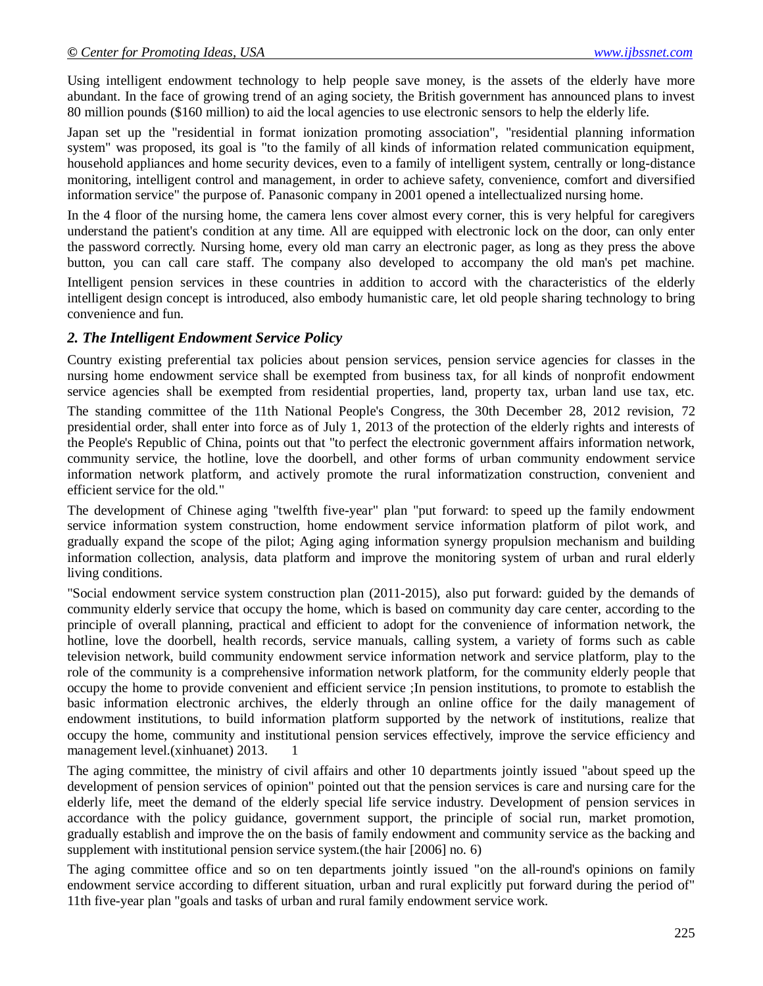Using intelligent endowment technology to help people save money, is the assets of the elderly have more abundant. In the face of growing trend of an aging society, the British government has announced plans to invest 80 million pounds (\$160 million) to aid the local agencies to use electronic sensors to help the elderly life.

Japan set up the "residential in format ionization promoting association", "residential planning information system" was proposed, its goal is "to the family of all kinds of information related communication equipment, household appliances and home security devices, even to a family of intelligent system, centrally or long-distance monitoring, intelligent control and management, in order to achieve safety, convenience, comfort and diversified information service" the purpose of. Panasonic company in 2001 opened a intellectualized nursing home.

In the 4 floor of the nursing home, the camera lens cover almost every corner, this is very helpful for caregivers understand the patient's condition at any time. All are equipped with electronic lock on the door, can only enter the password correctly. Nursing home, every old man carry an electronic pager, as long as they press the above button, you can call care staff. The company also developed to accompany the old man's pet machine.

Intelligent pension services in these countries in addition to accord with the characteristics of the elderly intelligent design concept is introduced, also embody humanistic care, let old people sharing technology to bring convenience and fun.

#### *2. The Intelligent Endowment Service Policy*

Country existing preferential tax policies about pension services, pension service agencies for classes in the nursing home endowment service shall be exempted from business tax, for all kinds of nonprofit endowment service agencies shall be exempted from residential properties, land, property tax, urban land use tax, etc. The standing committee of the 11th National People's Congress, the 30th December 28, 2012 revision, 72 presidential order, shall enter into force as of July 1, 2013 of the protection of the elderly rights and interests of the People's Republic of China, points out that "to perfect the electronic government affairs information network, community service, the hotline, love the doorbell, and other forms of urban community endowment service information network platform, and actively promote the rural informatization construction, convenient and efficient service for the old."

The development of Chinese aging "twelfth five-year" plan "put forward: to speed up the family endowment service information system construction, home endowment service information platform of pilot work, and gradually expand the scope of the pilot; Aging aging information synergy propulsion mechanism and building information collection, analysis, data platform and improve the monitoring system of urban and rural elderly living conditions.

"Social endowment service system construction plan (2011-2015), also put forward: guided by the demands of community elderly service that occupy the home, which is based on community day care center, according to the principle of overall planning, practical and efficient to adopt for the convenience of information network, the hotline, love the doorbell, health records, service manuals, calling system, a variety of forms such as cable television network, build community endowment service information network and service platform, play to the role of the community is a comprehensive information network platform, for the community elderly people that occupy the home to provide convenient and efficient service ;In pension institutions, to promote to establish the basic information electronic archives, the elderly through an online office for the daily management of endowment institutions, to build information platform supported by the network of institutions, realize that occupy the home, community and institutional pension services effectively, improve the service efficiency and management level.(xinhuanet) 2013. 1

The aging committee, the ministry of civil affairs and other 10 departments jointly issued "about speed up the development of pension services of opinion" pointed out that the pension services is care and nursing care for the elderly life, meet the demand of the elderly special life service industry. Development of pension services in accordance with the policy guidance, government support, the principle of social run, market promotion, gradually establish and improve the on the basis of family endowment and community service as the backing and supplement with institutional pension service system.(the hair [2006] no. 6)

The aging committee office and so on ten departments jointly issued "on the all-round's opinions on family endowment service according to different situation, urban and rural explicitly put forward during the period of" 11th five-year plan "goals and tasks of urban and rural family endowment service work.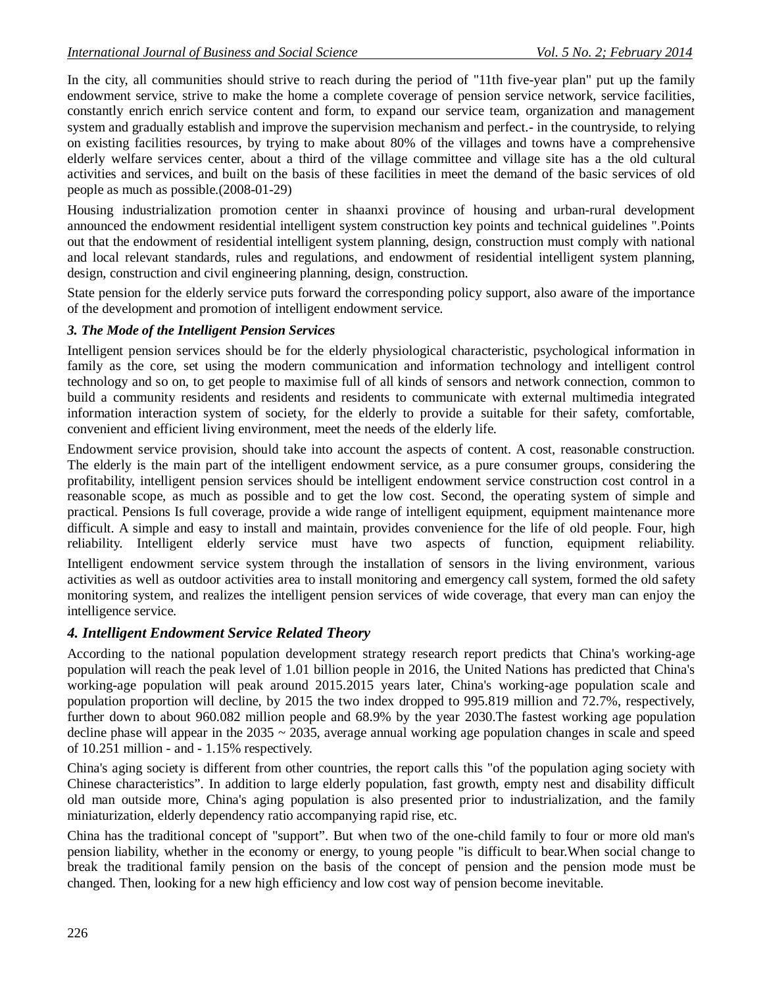In the city, all communities should strive to reach during the period of "11th five-year plan" put up the family endowment service, strive to make the home a complete coverage of pension service network, service facilities, constantly enrich enrich service content and form, to expand our service team, organization and management system and gradually establish and improve the supervision mechanism and perfect.- in the countryside, to relying on existing facilities resources, by trying to make about 80% of the villages and towns have a comprehensive elderly welfare services center, about a third of the village committee and village site has a the old cultural activities and services, and built on the basis of these facilities in meet the demand of the basic services of old people as much as possible.(2008-01-29)

Housing industrialization promotion center in shaanxi province of housing and urban-rural development announced the endowment residential intelligent system construction key points and technical guidelines ".Points out that the endowment of residential intelligent system planning, design, construction must comply with national and local relevant standards, rules and regulations, and endowment of residential intelligent system planning, design, construction and civil engineering planning, design, construction.

State pension for the elderly service puts forward the corresponding policy support, also aware of the importance of the development and promotion of intelligent endowment service.

### *3. The Mode of the Intelligent Pension Services*

Intelligent pension services should be for the elderly physiological characteristic, psychological information in family as the core, set using the modern communication and information technology and intelligent control technology and so on, to get people to maximise full of all kinds of sensors and network connection, common to build a community residents and residents and residents to communicate with external multimedia integrated information interaction system of society, for the elderly to provide a suitable for their safety, comfortable, convenient and efficient living environment, meet the needs of the elderly life.

Endowment service provision, should take into account the aspects of content. A cost, reasonable construction. The elderly is the main part of the intelligent endowment service, as a pure consumer groups, considering the profitability, intelligent pension services should be intelligent endowment service construction cost control in a reasonable scope, as much as possible and to get the low cost. Second, the operating system of simple and practical. Pensions Is full coverage, provide a wide range of intelligent equipment, equipment maintenance more difficult. A simple and easy to install and maintain, provides convenience for the life of old people. Four, high reliability. Intelligent elderly service must have two aspects of function, equipment reliability. Intelligent endowment service system through the installation of sensors in the living environment, various activities as well as outdoor activities area to install monitoring and emergency call system, formed the old safety monitoring system, and realizes the intelligent pension services of wide coverage, that every man can enjoy the intelligence service.

### *4. Intelligent Endowment Service Related Theory*

According to the national population development strategy research report predicts that China's working-age population will reach the peak level of 1.01 billion people in 2016, the United Nations has predicted that China's working-age population will peak around 2015.2015 years later, China's working-age population scale and population proportion will decline, by 2015 the two index dropped to 995.819 million and 72.7%, respectively, further down to about 960.082 million people and 68.9% by the year 2030.The fastest working age population decline phase will appear in the  $2035 \sim 2035$ , average annual working age population changes in scale and speed of 10.251 million - and - 1.15% respectively.

China's aging society is different from other countries, the report calls this "of the population aging society with Chinese characteristics". In addition to large elderly population, fast growth, empty nest and disability difficult old man outside more, China's aging population is also presented prior to industrialization, and the family miniaturization, elderly dependency ratio accompanying rapid rise, etc.

China has the traditional concept of "support". But when two of the one-child family to four or more old man's pension liability, whether in the economy or energy, to young people "is difficult to bear.When social change to break the traditional family pension on the basis of the concept of pension and the pension mode must be changed. Then, looking for a new high efficiency and low cost way of pension become inevitable.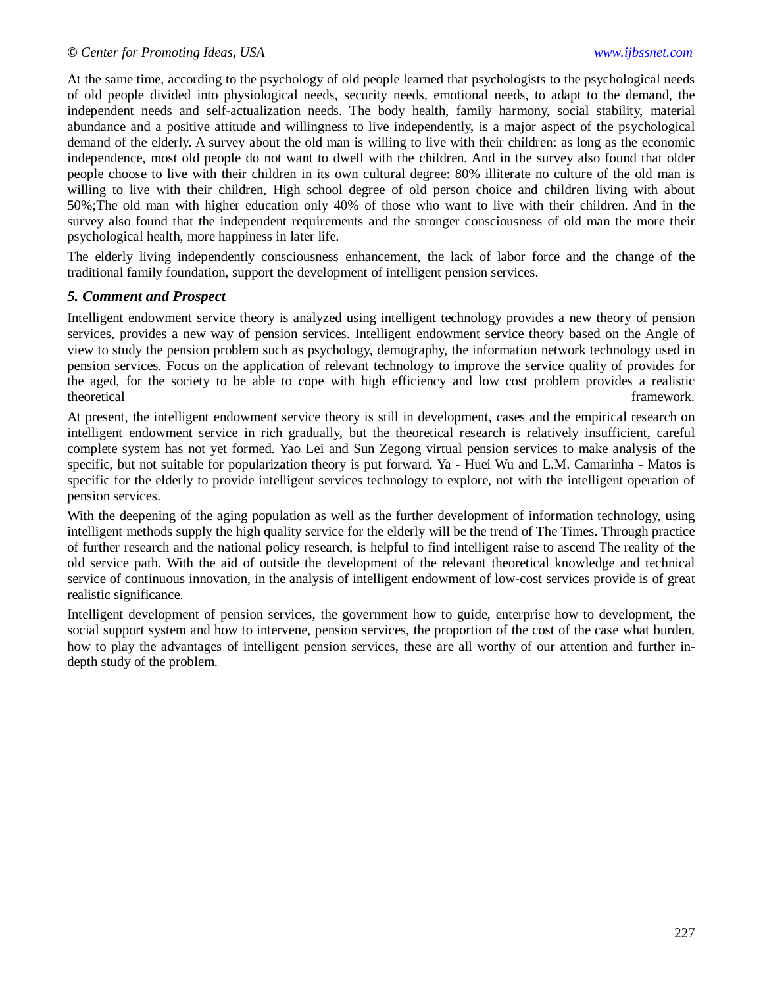At the same time, according to the psychology of old people learned that psychologists to the psychological needs of old people divided into physiological needs, security needs, emotional needs, to adapt to the demand, the independent needs and self-actualization needs. The body health, family harmony, social stability, material abundance and a positive attitude and willingness to live independently, is a major aspect of the psychological demand of the elderly. A survey about the old man is willing to live with their children: as long as the economic independence, most old people do not want to dwell with the children. And in the survey also found that older people choose to live with their children in its own cultural degree: 80% illiterate no culture of the old man is willing to live with their children, High school degree of old person choice and children living with about 50%;The old man with higher education only 40% of those who want to live with their children. And in the survey also found that the independent requirements and the stronger consciousness of old man the more their psychological health, more happiness in later life.

The elderly living independently consciousness enhancement, the lack of labor force and the change of the traditional family foundation, support the development of intelligent pension services.

#### *5. Comment and Prospect*

Intelligent endowment service theory is analyzed using intelligent technology provides a new theory of pension services, provides a new way of pension services. Intelligent endowment service theory based on the Angle of view to study the pension problem such as psychology, demography, the information network technology used in pension services. Focus on the application of relevant technology to improve the service quality of provides for the aged, for the society to be able to cope with high efficiency and low cost problem provides a realistic theoretical framework.

At present, the intelligent endowment service theory is still in development, cases and the empirical research on intelligent endowment service in rich gradually, but the theoretical research is relatively insufficient, careful complete system has not yet formed. Yao Lei and Sun Zegong virtual pension services to make analysis of the specific, but not suitable for popularization theory is put forward. Ya - Huei Wu and L.M. Camarinha - Matos is specific for the elderly to provide intelligent services technology to explore, not with the intelligent operation of pension services.

With the deepening of the aging population as well as the further development of information technology, using intelligent methods supply the high quality service for the elderly will be the trend of The Times. Through practice of further research and the national policy research, is helpful to find intelligent raise to ascend The reality of the old service path. With the aid of outside the development of the relevant theoretical knowledge and technical service of continuous innovation, in the analysis of intelligent endowment of low-cost services provide is of great realistic significance.

Intelligent development of pension services, the government how to guide, enterprise how to development, the social support system and how to intervene, pension services, the proportion of the cost of the case what burden, how to play the advantages of intelligent pension services, these are all worthy of our attention and further indepth study of the problem.